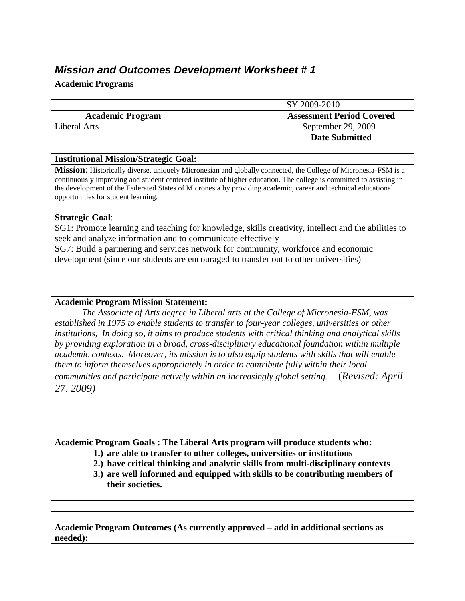# *Mission and Outcomes Development Worksheet # 1*

### **Academic Programs**

|                         | SY 2009-2010                     |
|-------------------------|----------------------------------|
| <b>Academic Program</b> | <b>Assessment Period Covered</b> |
| Liberal Arts            | September 29, 2009               |
|                         | <b>Date Submitted</b>            |

#### **Institutional Mission/Strategic Goal:**

**Mission**: Historically diverse, uniquely Micronesian and globally connected, the College of Micronesia-FSM is a continuously improving and student centered institute of higher education. The college is committed to assisting in the development of the Federated States of Micronesia by providing academic, career and technical educational opportunities for student learning.

### **Strategic Goal**:

SG1: Promote learning and teaching for knowledge, skills creativity, intellect and the abilities to seek and analyze information and to communicate effectively

SG7: Build a partnering and services network for community, workforce and economic development (since our students are encouraged to transfer out to other universities)

### **Academic Program Mission Statement:**

*The Associate of Arts degree in Liberal arts at the College of Micronesia-FSM, was established in 1975 to enable students to transfer to four-year colleges, universities or other institutions, In doing so, it aims to produce students with critical thinking and analytical skills by providing exploration in a broad, cross-disciplinary educational foundation within multiple academic contexts. Moreover, its mission is to also equip students with skills that will enable them to inform themselves appropriately in order to contribute fully within their local communities and participate actively within an increasingly global setting.* (*Revised: April 27, 2009)*

**Academic Program Goals : The Liberal Arts program will produce students who:** 

- **1.) are able to transfer to other colleges, universities or institutions**
- **2.) have critical thinking and analytic skills from multi-disciplinary contexts**
- **3.) are well informed and equipped with skills to be contributing members of their societies.**

**Academic Program Outcomes (As currently approved – add in additional sections as needed):**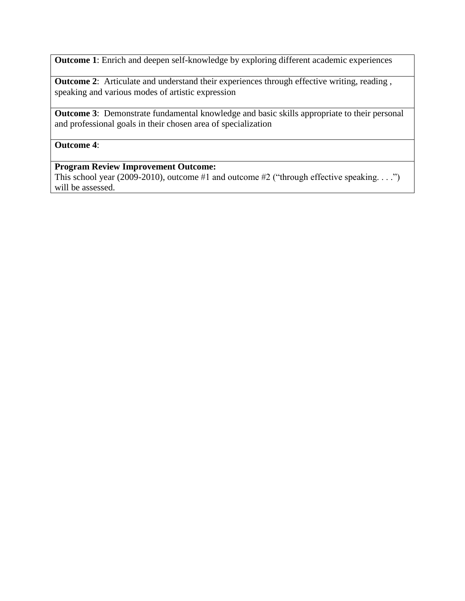**Outcome 1**: Enrich and deepen self-knowledge by exploring different academic experiences

**Outcome 2:** Articulate and understand their experiences through effective writing, reading, speaking and various modes of artistic expression

**Outcome 3:** Demonstrate fundamental knowledge and basic skills appropriate to their personal and professional goals in their chosen area of specialization

### **Outcome 4**:

## **Program Review Improvement Outcome:**

This school year (2009-2010), outcome #1 and outcome #2 ("through effective speaking. . . .") will be assessed.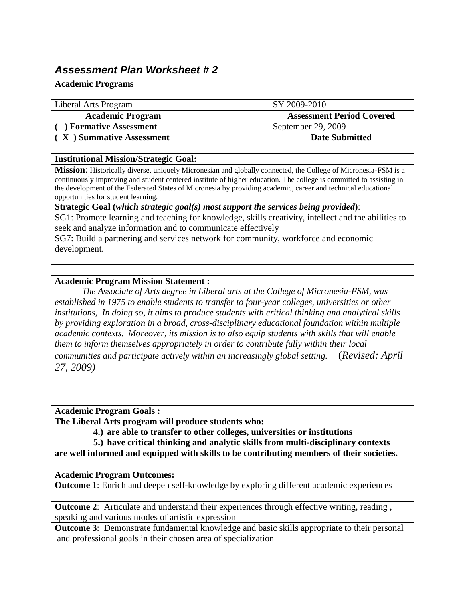# *Assessment Plan Worksheet # 2*

### **Academic Programs**

| Liberal Arts Program        | SY 2009-2010                     |
|-----------------------------|----------------------------------|
| <b>Academic Program</b>     | <b>Assessment Period Covered</b> |
| <b>Formative Assessment</b> | September 29, 2009               |
| X ) Summative Assessment    | <b>Date Submitted</b>            |

### **Institutional Mission/Strategic Goal:**

**Mission**: Historically diverse, uniquely Micronesian and globally connected, the College of Micronesia-FSM is a continuously improving and student centered institute of higher education. The college is committed to assisting in the development of the Federated States of Micronesia by providing academic, career and technical educational opportunities for student learning.

**Strategic Goal (***which strategic goal(s) most support the services being provided***)**:

SG1: Promote learning and teaching for knowledge, skills creativity, intellect and the abilities to seek and analyze information and to communicate effectively

SG7: Build a partnering and services network for community, workforce and economic development.

### **Academic Program Mission Statement :**

*The Associate of Arts degree in Liberal arts at the College of Micronesia-FSM, was established in 1975 to enable students to transfer to four-year colleges, universities or other institutions, In doing so, it aims to produce students with critical thinking and analytical skills by providing exploration in a broad, cross-disciplinary educational foundation within multiple academic contexts. Moreover, its mission is to also equip students with skills that will enable them to inform themselves appropriately in order to contribute fully within their local communities and participate actively within an increasingly global setting.* (*Revised: April 27, 2009)*

**Academic Program Goals :** 

**The Liberal Arts program will produce students who:** 

**4.) are able to transfer to other colleges, universities or institutions**

**5.) have critical thinking and analytic skills from multi-disciplinary contexts are well informed and equipped with skills to be contributing members of their societies.**

### **Academic Program Outcomes:**

**Outcome** 1: Enrich and deepen self-knowledge by exploring different academic experiences

**Outcome 2:** Articulate and understand their experiences through effective writing, reading, speaking and various modes of artistic expression

**Outcome 3**: Demonstrate fundamental knowledge and basic skills appropriate to their personal and professional goals in their chosen area of specialization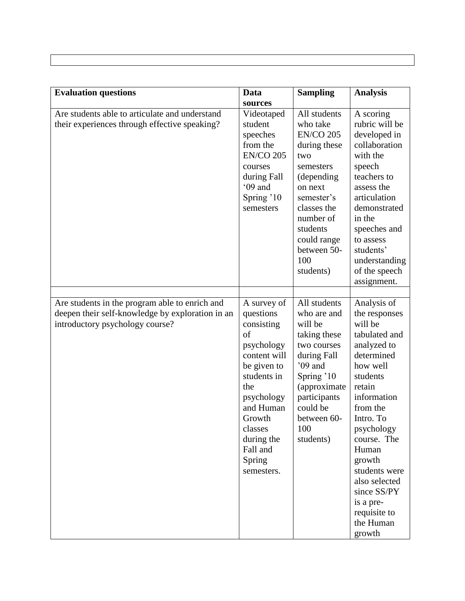| <b>Evaluation questions</b>                                                                                                           | Data                                                                                                                                                                                                              | <b>Sampling</b>                                                                                                                                                                                                   | <b>Analysis</b>                                                                                                                                                                                                                                                                                                      |
|---------------------------------------------------------------------------------------------------------------------------------------|-------------------------------------------------------------------------------------------------------------------------------------------------------------------------------------------------------------------|-------------------------------------------------------------------------------------------------------------------------------------------------------------------------------------------------------------------|----------------------------------------------------------------------------------------------------------------------------------------------------------------------------------------------------------------------------------------------------------------------------------------------------------------------|
|                                                                                                                                       | sources                                                                                                                                                                                                           |                                                                                                                                                                                                                   |                                                                                                                                                                                                                                                                                                                      |
| Are students able to articulate and understand<br>their experiences through effective speaking?                                       | Videotaped<br>student<br>speeches<br>from the<br><b>EN/CO 205</b><br>courses<br>during Fall<br>'09 and<br>Spring '10<br>semesters                                                                                 | All students<br>who take<br><b>EN/CO 205</b><br>during these<br>two<br>semesters<br>(depending<br>on next<br>semester's<br>classes the<br>number of<br>students<br>could range<br>between 50-<br>100<br>students) | A scoring<br>rubric will be<br>developed in<br>collaboration<br>with the<br>speech<br>teachers to<br>assess the<br>articulation<br>demonstrated<br>in the<br>speeches and<br>to assess<br>students'<br>understanding<br>of the speech<br>assignment.                                                                 |
| Are students in the program able to enrich and<br>deepen their self-knowledge by exploration in an<br>introductory psychology course? | A survey of<br>questions<br>consisting<br>of<br>psychology<br>content will<br>be given to<br>students in<br>the<br>psychology<br>and Human<br>Growth<br>classes<br>during the<br>Fall and<br>Spring<br>semesters. | All students<br>who are and<br>will be<br>taking these<br>two courses<br>during Fall<br>$09$ and<br>Spring '10<br>(approximate<br>participants<br>could be<br>between 60-<br>100<br>students)                     | Analysis of<br>the responses<br>will be<br>tabulated and<br>analyzed to<br>determined<br>how well<br>students<br>retain<br>information<br>from the<br>Intro. To<br>psychology<br>course. The<br>Human<br>growth<br>students were<br>also selected<br>since SS/PY<br>is a pre-<br>requisite to<br>the Human<br>growth |